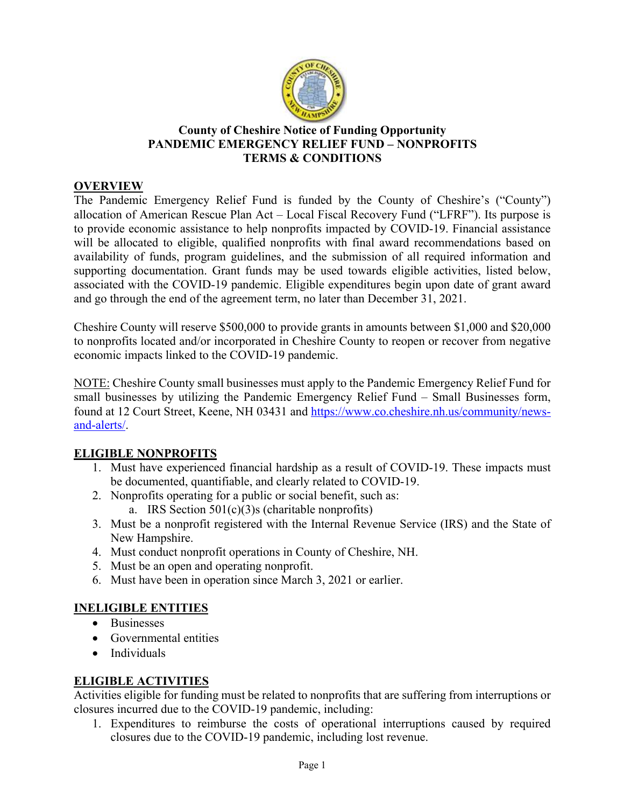

### **County of Cheshire Notice of Funding Opportunity PANDEMIC EMERGENCY RELIEF FUND – NONPROFITS TERMS & CONDITIONS**

### **OVERVIEW**

The Pandemic Emergency Relief Fund is funded by the County of Cheshire's ("County") allocation of American Rescue Plan Act – Local Fiscal Recovery Fund ("LFRF"). Its purpose is to provide economic assistance to help nonprofits impacted by COVID-19. Financial assistance will be allocated to eligible, qualified nonprofits with final award recommendations based on availability of funds, program guidelines, and the submission of all required information and supporting documentation. Grant funds may be used towards eligible activities, listed below, associated with the COVID-19 pandemic. Eligible expenditures begin upon date of grant award and go through the end of the agreement term, no later than December 31, 2021.

Cheshire County will reserve \$500,000 to provide grants in amounts between \$1,000 and \$20,000 to nonprofits located and/or incorporated in Cheshire County to reopen or recover from negative economic impacts linked to the COVID-19 pandemic.

NOTE: Cheshire County small businesses must apply to the Pandemic Emergency Relief Fund for small businesses by utilizing the Pandemic Emergency Relief Fund – Small Businesses form, found at 12 Court Street, Keene, NH 03431 and https://www.co.cheshire.nh.us/community/newsand-alerts/.

## **ELIGIBLE NONPROFITS**

- 1. Must have experienced financial hardship as a result of COVID-19. These impacts must be documented, quantifiable, and clearly related to COVID-19.
- 2. Nonprofits operating for a public or social benefit, such as:
	- a. IRS Section  $501(c)(3)$ s (charitable nonprofits)
- 3. Must be a nonprofit registered with the Internal Revenue Service (IRS) and the State of New Hampshire.
- 4. Must conduct nonprofit operations in County of Cheshire, NH.
- 5. Must be an open and operating nonprofit.
- 6. Must have been in operation since March 3, 2021 or earlier.

## **INELIGIBLE ENTITIES**

- Businesses
- Governmental entities
- Individuals

## **ELIGIBLE ACTIVITIES**

Activities eligible for funding must be related to nonprofits that are suffering from interruptions or closures incurred due to the COVID-19 pandemic, including:

1. Expenditures to reimburse the costs of operational interruptions caused by required closures due to the COVID-19 pandemic, including lost revenue.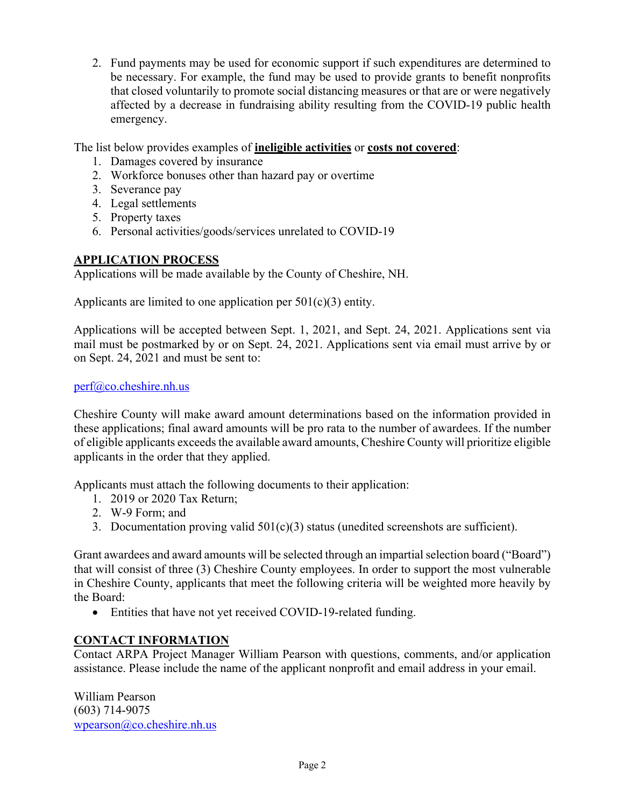2. Fund payments may be used for economic support if such expenditures are determined to be necessary. For example, the fund may be used to provide grants to benefit nonprofits that closed voluntarily to promote social distancing measures or that are or were negatively affected by a decrease in fundraising ability resulting from the COVID-19 public health emergency.

The list below provides examples of **ineligible activities** or **costs not covered**:

- 1. Damages covered by insurance
- 2. Workforce bonuses other than hazard pay or overtime
- 3. Severance pay
- 4. Legal settlements
- 5. Property taxes
- 6. Personal activities/goods/services unrelated to COVID-19

### **APPLICATION PROCESS**

Applications will be made available by the County of Cheshire, NH.

Applicants are limited to one application per  $501(c)(3)$  entity.

Applications will be accepted between Sept. 1, 2021, and Sept. 24, 2021. Applications sent via mail must be postmarked by or on Sept. 24, 2021. Applications sent via email must arrive by or on Sept. 24, 2021 and must be sent to:

perf@co.cheshire.nh.us

Cheshire County will make award amount determinations based on the information provided in these applications; final award amounts will be pro rata to the number of awardees. If the number of eligible applicants exceeds the available award amounts, Cheshire County will prioritize eligible applicants in the order that they applied.

Applicants must attach the following documents to their application:

- 1. 2019 or 2020 Tax Return;
- 2. W-9 Form; and
- 3. Documentation proving valid  $501(c)(3)$  status (unedited screenshots are sufficient).

Grant awardees and award amounts will be selected through an impartial selection board ("Board") that will consist of three (3) Cheshire County employees. In order to support the most vulnerable in Cheshire County, applicants that meet the following criteria will be weighted more heavily by the Board:

• Entities that have not yet received COVID-19-related funding.

## **CONTACT INFORMATION**

Contact ARPA Project Manager William Pearson with questions, comments, and/or application assistance. Please include the name of the applicant nonprofit and email address in your email.

William Pearson (603) 714-9075 wpearson@co.cheshire.nh.us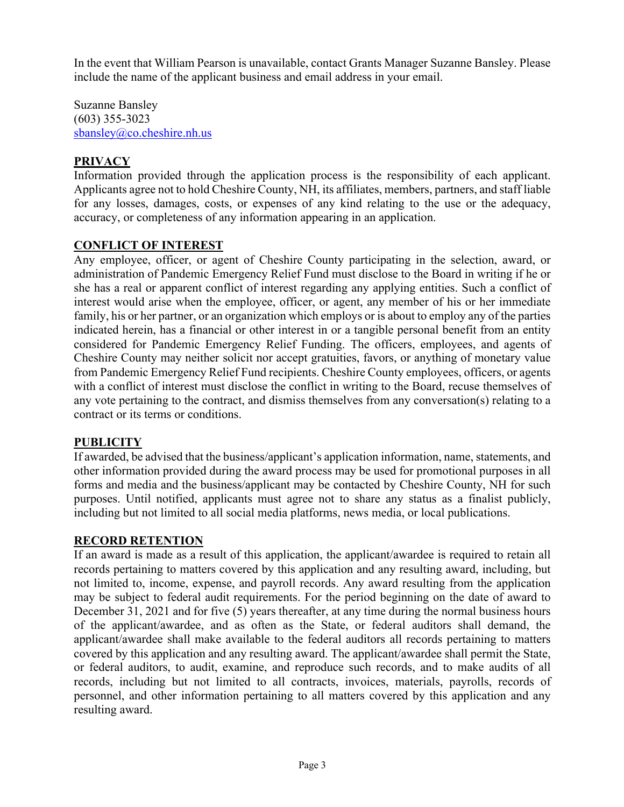In the event that William Pearson is unavailable, contact Grants Manager Suzanne Bansley. Please include the name of the applicant business and email address in your email.

Suzanne Bansley (603) 355-3023 sbansley@co.cheshire.nh.us

# **PRIVACY**

Information provided through the application process is the responsibility of each applicant. Applicants agree not to hold Cheshire County, NH, its affiliates, members, partners, and staff liable for any losses, damages, costs, or expenses of any kind relating to the use or the adequacy, accuracy, or completeness of any information appearing in an application.

## **CONFLICT OF INTEREST**

Any employee, officer, or agent of Cheshire County participating in the selection, award, or administration of Pandemic Emergency Relief Fund must disclose to the Board in writing if he or she has a real or apparent conflict of interest regarding any applying entities. Such a conflict of interest would arise when the employee, officer, or agent, any member of his or her immediate family, his or her partner, or an organization which employs or is about to employ any of the parties indicated herein, has a financial or other interest in or a tangible personal benefit from an entity considered for Pandemic Emergency Relief Funding. The officers, employees, and agents of Cheshire County may neither solicit nor accept gratuities, favors, or anything of monetary value from Pandemic Emergency Relief Fund recipients. Cheshire County employees, officers, or agents with a conflict of interest must disclose the conflict in writing to the Board, recuse themselves of any vote pertaining to the contract, and dismiss themselves from any conversation(s) relating to a contract or its terms or conditions.

## **PUBLICITY**

If awarded, be advised that the business/applicant's application information, name, statements, and other information provided during the award process may be used for promotional purposes in all forms and media and the business/applicant may be contacted by Cheshire County, NH for such purposes. Until notified, applicants must agree not to share any status as a finalist publicly, including but not limited to all social media platforms, news media, or local publications.

# **RECORD RETENTION**

If an award is made as a result of this application, the applicant/awardee is required to retain all records pertaining to matters covered by this application and any resulting award, including, but not limited to, income, expense, and payroll records. Any award resulting from the application may be subject to federal audit requirements. For the period beginning on the date of award to December 31, 2021 and for five (5) years thereafter, at any time during the normal business hours of the applicant/awardee, and as often as the State, or federal auditors shall demand, the applicant/awardee shall make available to the federal auditors all records pertaining to matters covered by this application and any resulting award. The applicant/awardee shall permit the State, or federal auditors, to audit, examine, and reproduce such records, and to make audits of all records, including but not limited to all contracts, invoices, materials, payrolls, records of personnel, and other information pertaining to all matters covered by this application and any resulting award.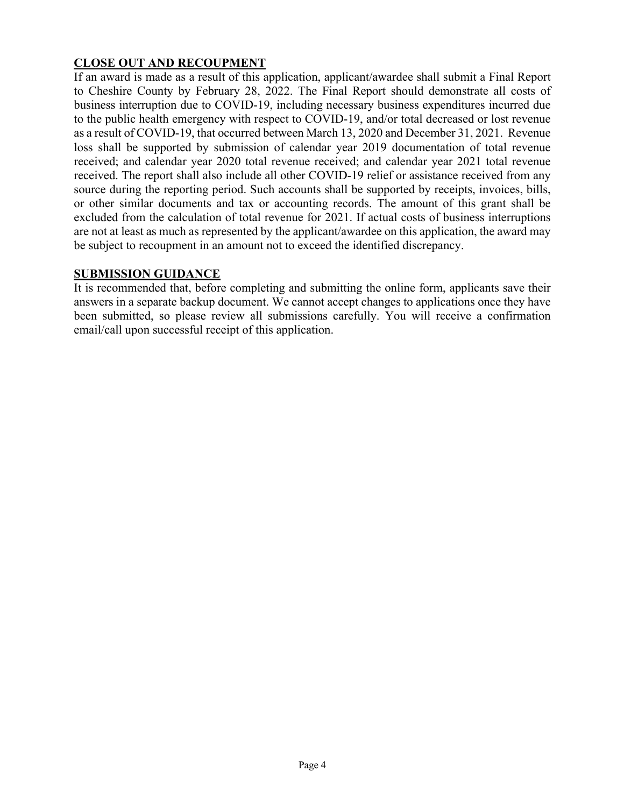### **CLOSE OUT AND RECOUPMENT**

If an award is made as a result of this application, applicant/awardee shall submit a Final Report to Cheshire County by February 28, 2022. The Final Report should demonstrate all costs of business interruption due to COVID-19, including necessary business expenditures incurred due to the public health emergency with respect to COVID-19, and/or total decreased or lost revenue as a result of COVID-19, that occurred between March 13, 2020 and December 31, 2021. Revenue loss shall be supported by submission of calendar year 2019 documentation of total revenue received; and calendar year 2020 total revenue received; and calendar year 2021 total revenue received. The report shall also include all other COVID-19 relief or assistance received from any source during the reporting period. Such accounts shall be supported by receipts, invoices, bills, or other similar documents and tax or accounting records. The amount of this grant shall be excluded from the calculation of total revenue for 2021. If actual costs of business interruptions are not at least as much as represented by the applicant/awardee on this application, the award may be subject to recoupment in an amount not to exceed the identified discrepancy.

#### **SUBMISSION GUIDANCE**

It is recommended that, before completing and submitting the online form, applicants save their answers in a separate backup document. We cannot accept changes to applications once they have been submitted, so please review all submissions carefully. You will receive a confirmation email/call upon successful receipt of this application.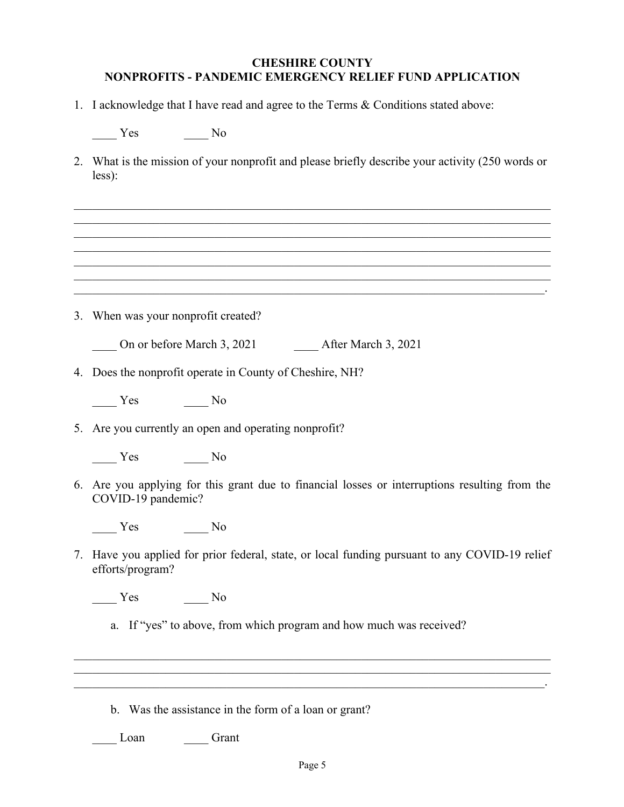#### **CHESHIRE COUNTY NONPROFITS - PANDEMIC EMERGENCY RELIEF FUND APPLICATION**

1. I acknowledge that I have read and agree to the Terms & Conditions stated above:

\_\_\_\_ Yes \_\_\_\_ No

2. What is the mission of your nonprofit and please briefly describe your activity (250 words or less):

 $\_$  , and the set of the set of the set of the set of the set of the set of the set of the set of the set of the set of the set of the set of the set of the set of the set of the set of the set of the set of the set of th

 $\mathcal{L}_\mathcal{L} = \mathcal{L}_\mathcal{L} = \mathcal{L}_\mathcal{L} = \mathcal{L}_\mathcal{L} = \mathcal{L}_\mathcal{L} = \mathcal{L}_\mathcal{L} = \mathcal{L}_\mathcal{L} = \mathcal{L}_\mathcal{L} = \mathcal{L}_\mathcal{L} = \mathcal{L}_\mathcal{L} = \mathcal{L}_\mathcal{L} = \mathcal{L}_\mathcal{L} = \mathcal{L}_\mathcal{L} = \mathcal{L}_\mathcal{L} = \mathcal{L}_\mathcal{L} = \mathcal{L}_\mathcal{L} = \mathcal{L}_\mathcal{L}$ 

- 3. When was your nonprofit created?
	- On or before March 3, 2021 After March 3, 2021
- 4. Does the nonprofit operate in County of Cheshire, NH?

\_\_\_\_ Yes \_\_\_\_ No

5. Are you currently an open and operating nonprofit?

\_\_\_\_ Yes \_\_\_\_ No

6. Are you applying for this grant due to financial losses or interruptions resulting from the COVID-19 pandemic?

Yes No

7. Have you applied for prior federal, state, or local funding pursuant to any COVID-19 relief efforts/program?

\_\_\_\_ Yes \_\_\_\_ No

- a. If "yes" to above, from which program and how much was received?
- b. Was the assistance in the form of a loan or grant?

\_\_\_\_ Loan \_\_\_\_ Grant

 $\mathcal{L}_\mathcal{L} = \mathcal{L}_\mathcal{L} = \mathcal{L}_\mathcal{L} = \mathcal{L}_\mathcal{L} = \mathcal{L}_\mathcal{L} = \mathcal{L}_\mathcal{L} = \mathcal{L}_\mathcal{L} = \mathcal{L}_\mathcal{L} = \mathcal{L}_\mathcal{L} = \mathcal{L}_\mathcal{L} = \mathcal{L}_\mathcal{L} = \mathcal{L}_\mathcal{L} = \mathcal{L}_\mathcal{L} = \mathcal{L}_\mathcal{L} = \mathcal{L}_\mathcal{L} = \mathcal{L}_\mathcal{L} = \mathcal{L}_\mathcal{L}$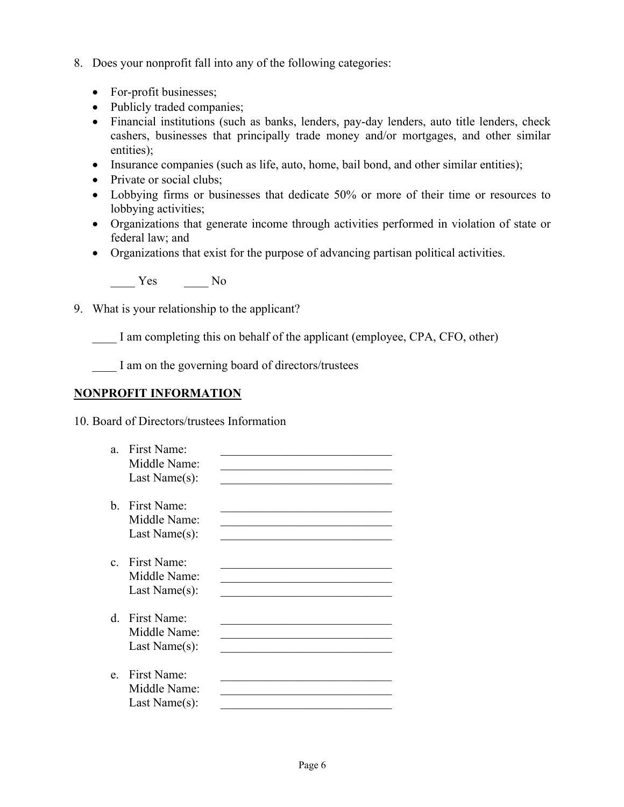- 8. Does your nonprofit fall into any of the following categories:
	- For-profit businesses;
	- Publicly traded companies;
	- Financial institutions (such as banks, lenders, pay-day lenders, auto title lenders, check cashers, businesses that principally trade money and/or mortgages, and other similar entities);
	- Insurance companies (such as life, auto, home, bail bond, and other similar entities);
	- Private or social clubs;
	- Lobbying firms or businesses that dedicate 50% or more of their time or resources to lobbying activities;
	- Organizations that generate income through activities performed in violation of state or federal law; and
	- Organizations that exist for the purpose of advancing partisan political activities.

 $Yes$  No

9. What is your relationship to the applicant?

I am completing this on behalf of the applicant (employee, CPA, CFO, other)

I am on the governing board of directors/trustees

#### **NONPROFIT INFORMATION**

10. Board of Directors/trustees Information

| $\mathbf{a}$ . | First Name:<br>Middle Name:<br>Last Name(s): |  |
|----------------|----------------------------------------------|--|
| $\mathbf{h}_1$ | First Name:<br>Middle Name:<br>Last Name(s): |  |
| $\mathbf{c}$   | First Name:<br>Middle Name:<br>Last Name(s): |  |
| $d_{-}$        | First Name:<br>Middle Name:<br>Last Name(s): |  |
| $e_{\cdot}$    | First Name:<br>Middle Name:<br>Last Name(s): |  |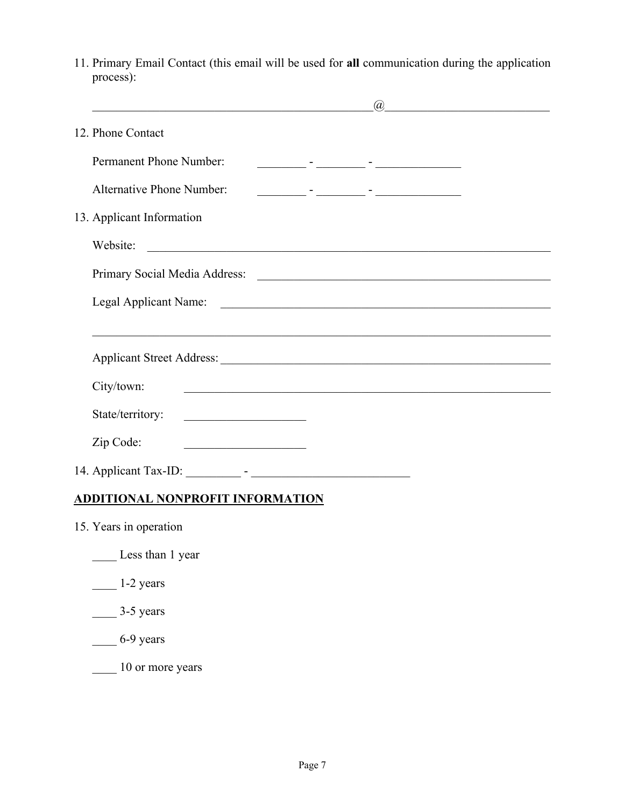11. Primary Email Contact (this email will be used for **all** communication during the application process):

| <u> 1989 - Johann John Stein, mars an deus Amerikaansk kommunister (</u>                                                         |                                                               | $\mathcal{D}_{\alpha}$ |                                                             |  |
|----------------------------------------------------------------------------------------------------------------------------------|---------------------------------------------------------------|------------------------|-------------------------------------------------------------|--|
| 12. Phone Contact                                                                                                                |                                                               |                        |                                                             |  |
| <b>Permanent Phone Number:</b>                                                                                                   |                                                               |                        |                                                             |  |
| <b>Alternative Phone Number:</b>                                                                                                 | <u> 1999 - Jan James Barnett, filozof a filozof (h. 1918)</u> |                        |                                                             |  |
| 13. Applicant Information                                                                                                        |                                                               |                        |                                                             |  |
| Website:<br><u> 2000 - Jan James James James James James James James James James James James James James James James James J</u> |                                                               |                        |                                                             |  |
|                                                                                                                                  |                                                               |                        |                                                             |  |
| Legal Applicant Name:                                                                                                            |                                                               |                        |                                                             |  |
| ,我们也不能在这里的时候,我们也不能在这里的时候,我们也不能会在这里的时候,我们也不能会在这里的时候,我们也不能会在这里的时候,我们也不能会在这里的时候,我们也                                                 |                                                               |                        |                                                             |  |
|                                                                                                                                  |                                                               |                        |                                                             |  |
| City/town:                                                                                                                       |                                                               |                        | <u> 1989 - Johann Stoff, amerikansk politiker (d. 1989)</u> |  |
| State/territory:<br><u> 1989 - Johann John Stein, mars et al. (</u>                                                              |                                                               |                        |                                                             |  |
| Zip Code:<br><u> 1990 - Johann John Stoff, deutscher Stoff</u>                                                                   |                                                               |                        |                                                             |  |
|                                                                                                                                  |                                                               |                        |                                                             |  |
| <u>ADDITIONAL NONPROFIT INFORMATION</u>                                                                                          |                                                               |                        |                                                             |  |
| 15. Years in operation                                                                                                           |                                                               |                        |                                                             |  |
| Less than 1 year                                                                                                                 |                                                               |                        |                                                             |  |
| 1-2 years                                                                                                                        |                                                               |                        |                                                             |  |
| 3-5 years                                                                                                                        |                                                               |                        |                                                             |  |
| 6-9 years                                                                                                                        |                                                               |                        |                                                             |  |
|                                                                                                                                  |                                                               |                        |                                                             |  |

\_\_\_\_\_ 10 or more years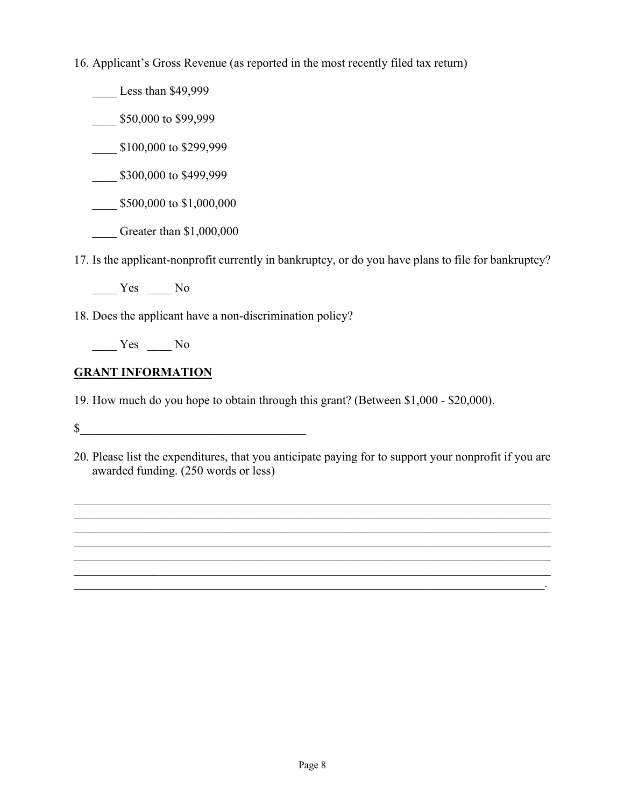16. Applicant's Gross Revenue (as reported in the most recently filed tax return)

Less than \$49,999 \_\_\_\_ \$50,000 to \$99,999 \_\_\_\_ \$100,000 to \$299,999 \_\_\_\_ \$300,000 to \$499,999 \$500,000 to \$1,000,000

Greater than \$1,000,000

17. Is the applicant-nonprofit currently in bankruptcy, or do you have plans to file for bankruptcy?

\_\_\_\_ Yes \_\_\_\_ No

18. Does the applicant have a non-discrimination policy?

Yes No

#### **GRANT INFORMATION**

19. How much do you hope to obtain through this grant? (Between \$1,000 - \$20,000).

 $\mathbb{S}$ 

20. Please list the expenditures, that you anticipate paying for to support your nonprofit if you are awarded funding. (250 words or less)

 $\mathcal{L}_\mathcal{L} = \mathcal{L}_\mathcal{L} = \mathcal{L}_\mathcal{L} = \mathcal{L}_\mathcal{L} = \mathcal{L}_\mathcal{L} = \mathcal{L}_\mathcal{L} = \mathcal{L}_\mathcal{L} = \mathcal{L}_\mathcal{L} = \mathcal{L}_\mathcal{L} = \mathcal{L}_\mathcal{L} = \mathcal{L}_\mathcal{L} = \mathcal{L}_\mathcal{L} = \mathcal{L}_\mathcal{L} = \mathcal{L}_\mathcal{L} = \mathcal{L}_\mathcal{L} = \mathcal{L}_\mathcal{L} = \mathcal{L}_\mathcal{L}$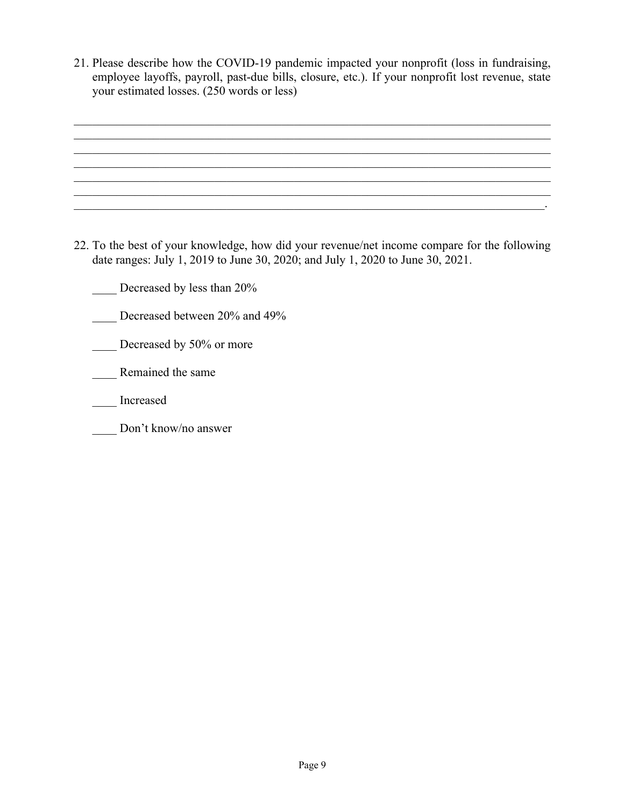21. Please describe how the COVID-19 pandemic impacted your nonprofit (loss in fundraising, employee layoffs, payroll, past-due bills, closure, etc.). If your nonprofit lost revenue, state your estimated losses. (250 words or less)

22. To the best of your knowledge, how did your revenue/net income compare for the following date ranges: July 1, 2019 to June 30, 2020; and July 1, 2020 to June 30, 2021.

 $\mathcal{L}_\mathcal{L} = \mathcal{L}_\mathcal{L} = \mathcal{L}_\mathcal{L} = \mathcal{L}_\mathcal{L} = \mathcal{L}_\mathcal{L} = \mathcal{L}_\mathcal{L} = \mathcal{L}_\mathcal{L} = \mathcal{L}_\mathcal{L} = \mathcal{L}_\mathcal{L} = \mathcal{L}_\mathcal{L} = \mathcal{L}_\mathcal{L} = \mathcal{L}_\mathcal{L} = \mathcal{L}_\mathcal{L} = \mathcal{L}_\mathcal{L} = \mathcal{L}_\mathcal{L} = \mathcal{L}_\mathcal{L} = \mathcal{L}_\mathcal{L}$ 

Decreased by less than 20%

\_\_\_\_ Decreased between 20% and 49%

- Decreased by 50% or more
- Remained the same
- \_\_\_\_ Increased
- Don't know/no answer